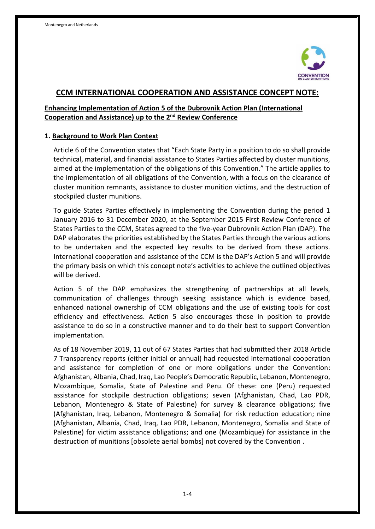

## **CCM INTERNATIONAL COOPERATION AND ASSISTANCE CONCEPT NOTE:**

## **Enhancing Implementation of Action 5 of the Dubrovnik Action Plan (International Cooperation and Assistance) up to the 2<sup>nd</sup> Review Conference**

#### **1. Background to Work Plan Context**

Article 6 of the Convention states that "Each State Party in a position to do so shall provide technical, material, and financial assistance to States Parties affected by cluster munitions, aimed at the implementation of the obligations of this Convention." The article applies to the implementation of all obligations of the Convention, with a focus on the clearance of cluster munition remnants, assistance to cluster munition victims, and the destruction of stockpiled cluster munitions.

To guide States Parties effectively in implementing the Convention during the period 1 January 2016 to 31 December 2020, at the September 2015 First Review Conference of States Parties to the CCM, States agreed to the five-year Dubrovnik Action Plan (DAP). The DAP elaborates the priorities established by the States Parties through the various actions to be undertaken and the expected key results to be derived from these actions. International cooperation and assistance of the CCM is the DAP's Action 5 and will provide the primary basis on which this concept note's activities to achieve the outlined objectives will be derived.

Action 5 of the DAP emphasizes the strengthening of partnerships at all levels, communication of challenges through seeking assistance which is evidence based, enhanced national ownership of CCM obligations and the use of existing tools for cost efficiency and effectiveness. Action 5 also encourages those in position to provide assistance to do so in a constructive manner and to do their best to support Convention implementation.

As of 18 November 2019, 11 out of 67 States Parties that had submitted their 2018 Article 7 Transparency reports (either initial or annual) had requested international cooperation and assistance for completion of one or more obligations under the Convention: Afghanistan, Albania, Chad, Iraq, Lao People's Democratic Republic, Lebanon, Montenegro, Mozambique, Somalia, State of Palestine and Peru. Of these: one (Peru) requested assistance for stockpile destruction obligations; seven (Afghanistan, Chad, Lao PDR, Lebanon, Montenegro & State of Palestine) for survey & clearance obligations; five (Afghanistan, Iraq, Lebanon, Montenegro & Somalia) for risk reduction education; nine (Afghanistan, Albania, Chad, Iraq, Lao PDR, Lebanon, Montenegro, Somalia and State of Palestine) for victim assistance obligations; and one (Mozambique) for assistance in the destruction of munitions [obsolete aerial bombs] not covered by the Convention .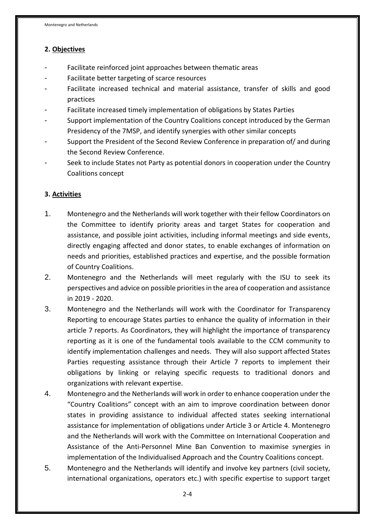## **2. Objectives**

- Facilitate reinforced joint approaches between thematic areas
- Facilitate better targeting of scarce resources
- Facilitate increased technical and material assistance, transfer of skills and good practices
- Facilitate increased timely implementation of obligations by States Parties
- Support implementation of the Country Coalitions concept introduced by the German Presidency of the 7MSP, and identify synergies with other similar concepts
- Support the President of the Second Review Conference in preparation of/ and during the Second Review Conference.
- Seek to include States not Party as potential donors in cooperation under the Country Coalitions concept

## **3. Activities**

- 1. Montenegro and the Netherlands will work together with their fellow Coordinators on the Committee to identify priority areas and target States for cooperation and assistance, and possible joint activities, including informal meetings and side events, directly engaging affected and donor states, to enable exchanges of information on needs and priorities, established practices and expertise, and the possible formation of Country Coalitions.
- 2. Montenegro and the Netherlands will meet regularly with the ISU to seek its perspectives and advice on possible priorities in the area of cooperation and assistance in 2019 - 2020.
- 3. Montenegro and the Netherlands will work with the Coordinator for Transparency Reporting to encourage States parties to enhance the quality of information in their article 7 reports. As Coordinators, they will highlight the importance of transparency reporting as it is one of the fundamental tools available to the CCM community to identify implementation challenges and needs. They will also support affected States Parties requesting assistance through their Article 7 reports to implement their obligations by linking or relaying specific requests to traditional donors and organizations with relevant expertise.
- 4. Montenegro and the Netherlands will work in order to enhance cooperation under the "Country Coalitions" concept with an aim to improve coordination between donor states in providing assistance to individual affected states seeking international assistance for implementation of obligations under Article 3 or Article 4. Montenegro and the Netherlands will work with the Committee on International Cooperation and Assistance of the Anti-Personnel Mine Ban Convention to maximise synergies in implementation of the Individualised Approach and the Country Coalitions concept.
- 5. Montenegro and the Netherlands will identify and involve key partners (civil society, international organizations, operators etc.) with specific expertise to support target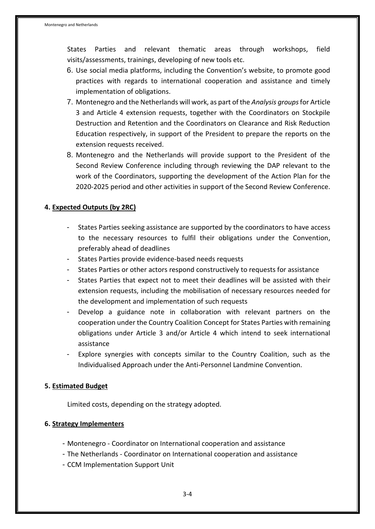States Parties and relevant thematic areas through workshops, field visits/assessments, trainings, developing of new tools etc.

- 6. Use social media platforms, including the Convention's website, to promote good practices with regards to international cooperation and assistance and timely implementation of obligations.
- 7. Montenegro and the Netherlands will work, as part of the *Analysis groups*for Article 3 and Article 4 extension requests, together with the Coordinators on Stockpile Destruction and Retention and the Coordinators on Clearance and Risk Reduction Education respectively, in support of the President to prepare the reports on the extension requests received.
- 8. Montenegro and the Netherlands will provide support to the President of the Second Review Conference including through reviewing the DAP relevant to the work of the Coordinators, supporting the development of the Action Plan for the 2020-2025 period and other activities in support of the Second Review Conference.

# **4. Expected Outputs (by 2RC)**

- States Parties seeking assistance are supported by the coordinators to have access to the necessary resources to fulfil their obligations under the Convention, preferably ahead of deadlines
- States Parties provide evidence-based needs requests
- States Parties or other actors respond constructively to requests for assistance
- States Parties that expect not to meet their deadlines will be assisted with their extension requests, including the mobilisation of necessary resources needed for the development and implementation of such requests
- Develop a guidance note in collaboration with relevant partners on the cooperation under the Country Coalition Concept for States Parties with remaining obligations under Article 3 and/or Article 4 which intend to seek international assistance
- Explore synergies with concepts similar to the Country Coalition, such as the Individualised Approach under the Anti-Personnel Landmine Convention.

#### **5. Estimated Budget**

Limited costs, depending on the strategy adopted.

# **6. Strategy Implementers**

- Montenegro Coordinator on International cooperation and assistance
- The Netherlands Coordinator on International cooperation and assistance
- CCM Implementation Support Unit